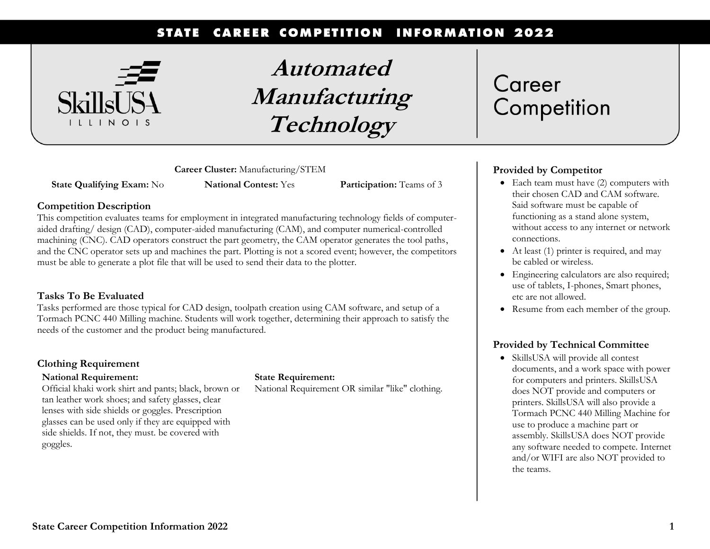#### **CAREER COMPETITION INFORMATION 2022 STATE**



**Automated Manufacturing Technology**

**Career Cluster:** Manufacturing/STEM

**State Qualifying Exam:** No **National Contest:** Yes **Participation:** Teams of 3

### **Competition Description**

This competition evaluates teams for employment in integrated manufacturing technology fields of computeraided drafting/ design (CAD), computer-aided manufacturing (CAM), and computer numerical-controlled machining (CNC). CAD operators construct the part geometry, the CAM operator generates the tool paths, and the CNC operator sets up and machines the part. Plotting is not a scored event; however, the competitors must be able to generate a plot file that will be used to send their data to the plotter.

### **Tasks To Be Evaluated**

Tasks performed are those typical for CAD design, toolpath creation using CAM software, and setup of a Tormach PCNC 440 Milling machine. Students will work together, determining their approach to satisfy the needs of the customer and the product being manufactured.

### **Clothing Requirement**

### **National Requirement:**

Official khaki work shirt and pants; black, brown or tan leather work shoes; and safety glasses, clear lenses with side shields or goggles. Prescription glasses can be used only if they are equipped with side shields. If not, they must. be covered with goggles.

### **State Requirement:**

National Requirement OR similar "like" clothing.

# Career Competition

### **Provided by Competitor**

- Each team must have (2) computers with their chosen CAD and CAM software. Said software must be capable of functioning as a stand alone system, without access to any internet or network connections.
- At least (1) printer is required, and may be cabled or wireless.
- Engineering calculators are also required; use of tablets, I-phones, Smart phones, etc are not allowed.
- Resume from each member of the group.

### **Provided by Technical Committee**

• SkillsUSA will provide all contest documents, and a work space with power for computers and printers. SkillsUSA does NOT provide and computers or printers. SkillsUSA will also provide a Tormach PCNC 440 Milling Machine for use to produce a machine part or assembly. SkillsUSA does NOT provide any software needed to compete. Internet and/or WIFI are also NOT provided to the teams.